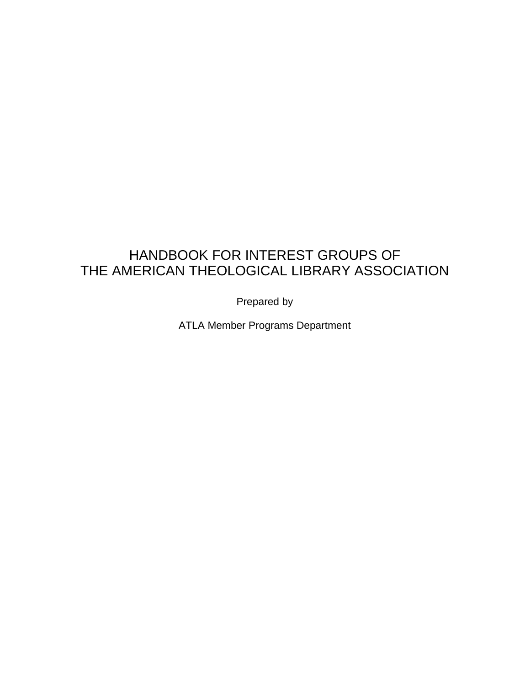# HANDBOOK FOR INTEREST GROUPS OF THE AMERICAN THEOLOGICAL LIBRARY ASSOCIATION

Prepared by

ATLA Member Programs Department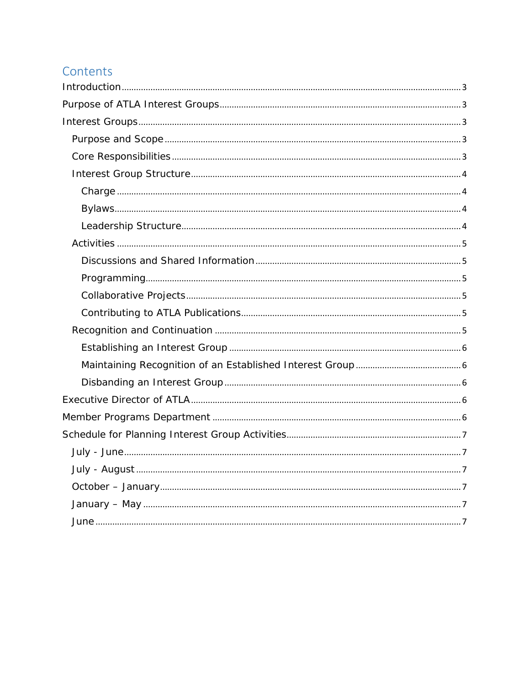# Contents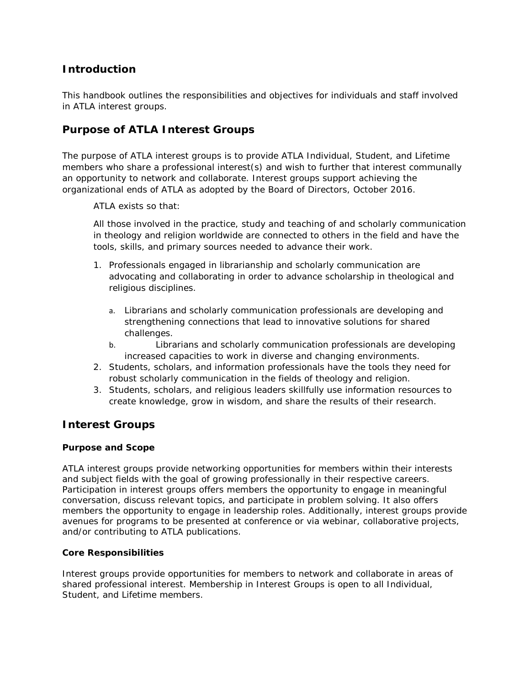# <span id="page-2-0"></span>**Introduction**

This handbook outlines the responsibilities and objectives for individuals and staff involved in ATLA interest groups.

# <span id="page-2-1"></span>**Purpose of ATLA Interest Groups**

The purpose of ATLA interest groups is to provide ATLA Individual, Student, and Lifetime members who share a professional interest(s) and wish to further that interest communally an opportunity to network and collaborate. Interest groups support achieving the organizational ends of ATLA as adopted by the Board of Directors, October 2016.

ATLA exists so that:

All those involved in the practice, study and teaching of and scholarly communication in theology and religion worldwide are connected to others in the field and have the tools, skills, and primary sources needed to advance their work.

- 1. Professionals engaged in librarianship and scholarly communication are advocating and collaborating in order to advance scholarship in theological and religious disciplines.
	- a. Librarians and scholarly communication professionals are developing and strengthening connections that lead to innovative solutions for shared challenges.
	- b. Librarians and scholarly communication professionals are developing increased capacities to work in diverse and changing environments.
- 2. Students, scholars, and information professionals have the tools they need for robust scholarly communication in the fields of theology and religion.
- 3. Students, scholars, and religious leaders skillfully use information resources to create knowledge, grow in wisdom, and share the results of their research.

## <span id="page-2-2"></span>**Interest Groups**

#### <span id="page-2-3"></span>*Purpose and Scope*

ATLA interest groups provide networking opportunities for members within their interests and subject fields with the goal of growing professionally in their respective careers. Participation in interest groups offers members the opportunity to engage in meaningful conversation, discuss relevant topics, and participate in problem solving. It also offers members the opportunity to engage in leadership roles. Additionally, interest groups provide avenues for programs to be presented at conference or via webinar, collaborative projects, and/or contributing to ATLA publications.

#### <span id="page-2-4"></span>*Core Responsibilities*

Interest groups provide opportunities for members to network and collaborate in areas of shared professional interest. Membership in Interest Groups is open to all Individual, Student, and Lifetime members.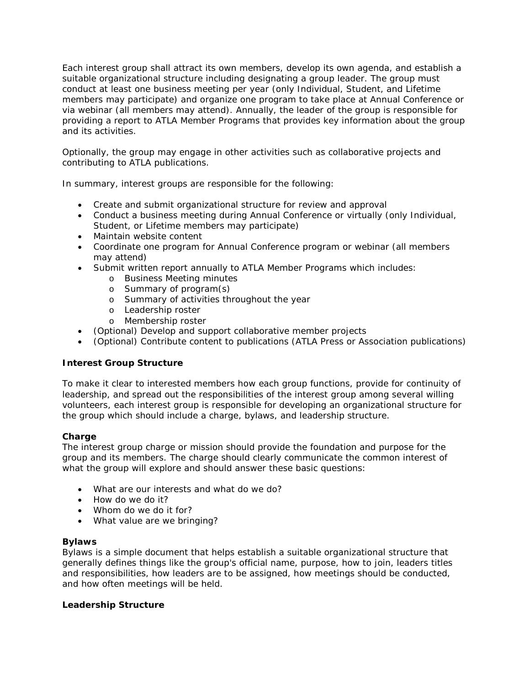Each interest group shall attract its own members, develop its own agenda, and establish a suitable organizational structure including designating a group leader. The group must conduct at least one business meeting per year (only Individual, Student, and Lifetime members may participate) and organize one program to take place at Annual Conference or via webinar (all members may attend). Annually, the leader of the group is responsible for providing a report to ATLA Member Programs that provides key information about the group and its activities.

Optionally, the group may engage in other activities such as collaborative projects and contributing to ATLA publications.

In summary, interest groups are responsible for the following:

- Create and submit organizational structure for review and approval
- Conduct a business meeting during Annual Conference or virtually (only Individual, Student, or Lifetime members may participate)
- Maintain website content
- Coordinate one program for Annual Conference program or webinar (all members may attend)
- Submit written report annually to ATLA Member Programs which includes:
	- o Business Meeting minutes
	- o Summary of program(s)
	- o Summary of activities throughout the year
	- o Leadership roster
	- o Membership roster
- (Optional) Develop and support collaborative member projects
- (Optional) Contribute content to publications (ATLA Press or Association publications)

#### <span id="page-3-0"></span>*Interest Group Structure*

To make it clear to interested members how each group functions, provide for continuity of leadership, and spread out the responsibilities of the interest group among several willing volunteers, each interest group is responsible for developing an organizational structure for the group which should include a charge, bylaws, and leadership structure.

#### <span id="page-3-1"></span>**Charge**

The interest group charge or mission should provide the foundation and purpose for the group and its members. The charge should clearly communicate the common interest of what the group will explore and should answer these basic questions:

- What are our interests and what do we do?
- How do we do it?
- Whom do we do it for?
- What value are we bringing?

#### <span id="page-3-2"></span>**Bylaws**

Bylaws is a simple document that helps establish a suitable organizational structure that generally defines things like the group's official name, purpose, how to join, leaders titles and responsibilities, how leaders are to be assigned, how meetings should be conducted, and how often meetings will be held.

#### <span id="page-3-3"></span>**Leadership Structure**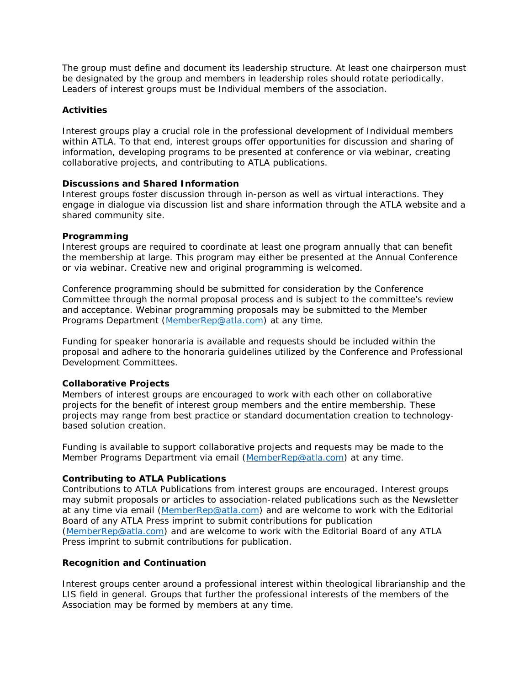The group must define and document its leadership structure. At least one chairperson must be designated by the group and members in leadership roles should rotate periodically. Leaders of interest groups must be Individual members of the association.

#### <span id="page-4-0"></span>*Activities*

Interest groups play a crucial role in the professional development of Individual members within ATLA. To that end, interest groups offer opportunities for discussion and sharing of information, developing programs to be presented at conference or via webinar, creating collaborative projects, and contributing to ATLA publications.

#### <span id="page-4-1"></span>**Discussions and Shared Information**

Interest groups foster discussion through in-person as well as virtual interactions. They engage in dialogue via discussion list and share information through the ATLA website and a shared community site.

#### <span id="page-4-2"></span>**Programming**

Interest groups are required to coordinate at least one program annually that can benefit the membership at large. This program may either be presented at the Annual Conference or via webinar. Creative new and original programming is welcomed.

Conference programming should be submitted for consideration by the Conference Committee through the normal proposal process and is subject to the committee's review and acceptance. Webinar programming proposals may be submitted to the Member Programs Department [\(MemberRep@atla.com\)](mailto:MemberRep@atla.com) at any time.

Funding for speaker honoraria is available and requests should be included within the proposal and adhere to the honoraria guidelines utilized by the Conference and Professional Development Committees.

#### <span id="page-4-3"></span>**Collaborative Projects**

Members of interest groups are encouraged to work with each other on collaborative projects for the benefit of interest group members and the entire membership. These projects may range from best practice or standard documentation creation to technologybased solution creation.

Funding is available to support collaborative projects and requests may be made to the Member Programs Department via email [\(MemberRep@atla.com\)](mailto:MemberRep@atla.com) at any time.

#### <span id="page-4-4"></span>**Contributing to ATLA Publications**

Contributions to ATLA Publications from interest groups are encouraged. Interest groups may submit proposals or articles to association-related publications such as the *Newsletter*  at any time via email (MemberRep@atla.com) and are welcome to work with the Editorial Board of any ATLA Press imprint to submit contributions for publication (MemberRep@atla.com) and are welcome to work with the Editorial Board of any ATLA Press imprint to submit contributions for publication.

#### <span id="page-4-5"></span>*Recognition and Continuation*

Interest groups center around a professional interest within theological librarianship and the LIS field in general. Groups that further the professional interests of the members of the Association may be formed by members at any time.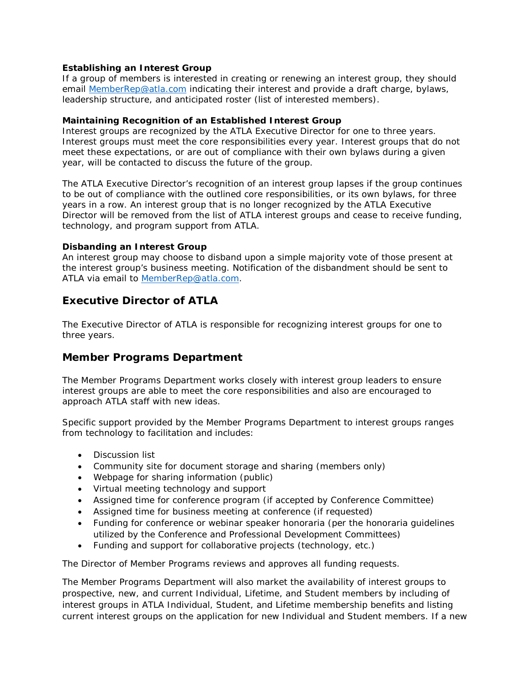#### <span id="page-5-0"></span>**Establishing an Interest Group**

If a group of members is interested in creating or renewing an interest group, they should email [MemberRep@atla.com](mailto:MemberRep@atla.com) indicating their interest and provide a draft charge, bylaws, leadership structure, and anticipated roster (list of interested members).

#### <span id="page-5-1"></span>**Maintaining Recognition of an Established Interest Group**

Interest groups are recognized by the ATLA Executive Director for one to three years. Interest groups must meet the core responsibilities every year. Interest groups that do not meet these expectations, or are out of compliance with their own bylaws during a given year, will be contacted to discuss the future of the group.

The ATLA Executive Director's recognition of an interest group lapses if the group continues to be out of compliance with the outlined core responsibilities, or its own bylaws, for three years in a row. An interest group that is no longer recognized by the ATLA Executive Director will be removed from the list of ATLA interest groups and cease to receive funding, technology, and program support from ATLA.

#### <span id="page-5-2"></span>**Disbanding an Interest Group**

An interest group may choose to disband upon a simple majority vote of those present at the interest group's business meeting. Notification of the disbandment should be sent to ATLA via email to [MemberRep@atla.com.](mailto:MemberRep@atla.com)

# <span id="page-5-3"></span>**Executive Director of ATLA**

The Executive Director of ATLA is responsible for recognizing interest groups for one to three years.

## <span id="page-5-4"></span>**Member Programs Department**

The Member Programs Department works closely with interest group leaders to ensure interest groups are able to meet the core responsibilities and also are encouraged to approach ATLA staff with new ideas.

Specific support provided by the Member Programs Department to interest groups ranges from technology to facilitation and includes:

- Discussion list
- Community site for document storage and sharing (members only)
- Webpage for sharing information (public)
- Virtual meeting technology and support
- Assigned time for conference program (if accepted by Conference Committee)
- Assigned time for business meeting at conference (if requested)
- Funding for conference or webinar speaker honoraria (per the honoraria guidelines utilized by the Conference and Professional Development Committees)
- Funding and support for collaborative projects (technology, etc.)

The Director of Member Programs reviews and approves all funding requests.

The Member Programs Department will also market the availability of interest groups to prospective, new, and current Individual, Lifetime, and Student members by including of interest groups in ATLA Individual, Student, and Lifetime membership benefits and listing current interest groups on the application for new Individual and Student members. If a new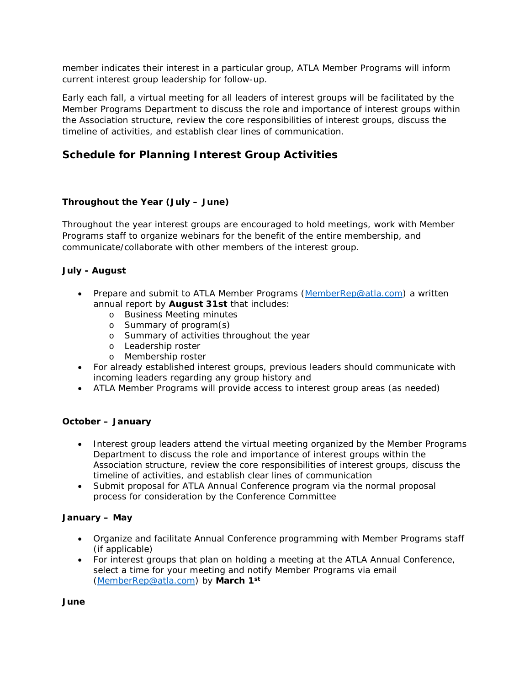member indicates their interest in a particular group, ATLA Member Programs will inform current interest group leadership for follow-up.

Early each fall, a virtual meeting for all leaders of interest groups will be facilitated by the Member Programs Department to discuss the role and importance of interest groups within the Association structure, review the core responsibilities of interest groups, discuss the timeline of activities, and establish clear lines of communication.

# <span id="page-6-0"></span>**Schedule for Planning Interest Group Activities**

## <span id="page-6-1"></span>*Throughout the Year (July – June)*

Throughout the year interest groups are encouraged to hold meetings, work with Member Programs staff to organize webinars for the benefit of the entire membership, and communicate/collaborate with other members of the interest group.

## <span id="page-6-2"></span>*July - August*

- Prepare and submit to ATLA Member Programs [\(MemberRep@atla.com\)](mailto:MemberRep@atla.com) a written annual report by **August 31st** that includes:
	- o Business Meeting minutes
	- o Summary of program(s)
	- o Summary of activities throughout the year
	- o Leadership roster
	- o Membership roster
- For already established interest groups, previous leaders should communicate with incoming leaders regarding any group history and
- ATLA Member Programs will provide access to interest group areas (as needed)

## <span id="page-6-3"></span>*October – January*

- Interest group leaders attend the virtual meeting organized by the Member Programs Department to discuss the role and importance of interest groups within the Association structure, review the core responsibilities of interest groups, discuss the timeline of activities, and establish clear lines of communication
- Submit proposal for ATLA Annual Conference program via the normal proposal process for consideration by the Conference Committee

## <span id="page-6-4"></span>*January – May*

- Organize and facilitate Annual Conference programming with Member Programs staff (if applicable)
- For interest groups that plan on holding a meeting at the ATLA Annual Conference, select a time for your meeting and notify Member Programs via email [\(MemberRep@atla.com\)](mailto:MemberRep@atla.com) by **March 1st**

<span id="page-6-5"></span>*June*